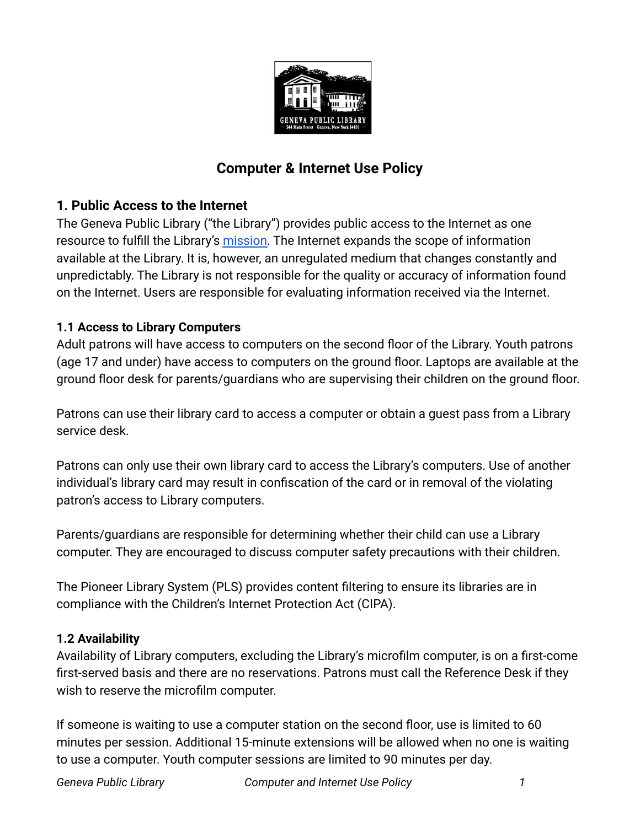

# **Computer & Internet Use Policy**

## **1. Public Access to the Internet**

The Geneva Public Library ("the Library") provides public access to the Internet as one resource to fulfill the Library's [mission.](https://www.genevapubliclibrary.net/uploads/4/9/7/8/49788875/library_mission_statement.pdf) The Internet expands the scope of information available at the Library. It is, however, an unregulated medium that changes constantly and unpredictably. The Library is not responsible for the quality or accuracy of information found on the Internet. Users are responsible for evaluating information received via the Internet.

#### **1.1 Access to Library Computers**

Adult patrons will have access to computers on the second floor of the Library. Youth patrons (age 17 and under) have access to computers on the ground floor. Laptops are available at the ground floor desk for parents/guardians who are supervising their children on the ground floor.

Patrons can use their library card to access a computer or obtain a guest pass from a Library service desk.

Patrons can only use their own library card to access the Library's computers. Use of another individual's library card may result in confiscation of the card or in removal of the violating patron's access to Library computers.

Parents/guardians are responsible for determining whether their child can use a Library computer. They are encouraged to discuss computer safety precautions with their children.

The Pioneer Library System (PLS) provides content filtering to ensure its libraries are in compliance with the Children's Internet Protection Act (CIPA).

#### **1.2 Availability**

Availability of Library computers, excluding the Library's microfilm computer, is on a first-come first-served basis and there are no reservations. Patrons must call the Reference Desk if they wish to reserve the microfilm computer.

If someone is waiting to use a computer station on the second floor, use is limited to 60 minutes per session. Additional 15-minute extensions will be allowed when no one is waiting to use a computer. Youth computer sessions are limited to 90 minutes per day.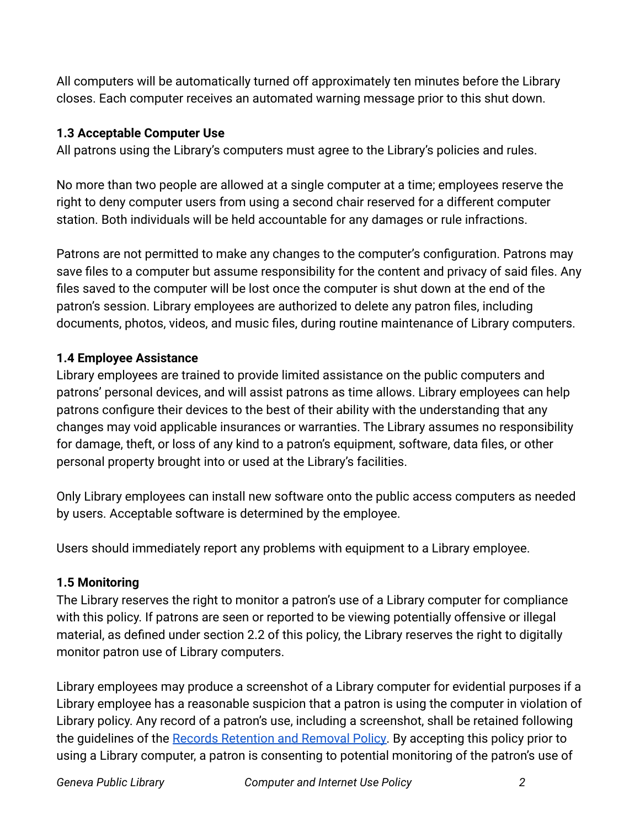All computers will be automatically turned off approximately ten minutes before the Library closes. Each computer receives an automated warning message prior to this shut down.

## **1.3 Acceptable Computer Use**

All patrons using the Library's computers must agree to the Library's policies and rules.

No more than two people are allowed at a single computer at a time; employees reserve the right to deny computer users from using a second chair reserved for a different computer station. Both individuals will be held accountable for any damages or rule infractions.

Patrons are not permitted to make any changes to the computer's configuration. Patrons may save files to a computer but assume responsibility for the content and privacy of said files. Any files saved to the computer will be lost once the computer is shut down at the end of the patron's session. Library employees are authorized to delete any patron files, including documents, photos, videos, and music files, during routine maintenance of Library computers.

## **1.4 Employee Assistance**

Library employees are trained to provide limited assistance on the public computers and patrons' personal devices, and will assist patrons as time allows. Library employees can help patrons configure their devices to the best of their ability with the understanding that any changes may void applicable insurances or warranties. The Library assumes no responsibility for damage, theft, or loss of any kind to a patron's equipment, software, data files, or other personal property brought into or used at the Library's facilities.

Only Library employees can install new software onto the public access computers as needed by users. Acceptable software is determined by the employee.

Users should immediately report any problems with equipment to a Library employee.

## **1.5 Monitoring**

The Library reserves the right to monitor a patron's use of a Library computer for compliance with this policy. If patrons are seen or reported to be viewing potentially offensive or illegal material, as defined under section 2.2 of this policy, the Library reserves the right to digitally monitor patron use of Library computers.

Library employees may produce a screenshot of a Library computer for evidential purposes if a Library employee has a reasonable suspicion that a patron is using the computer in violation of Library policy. Any record of a patron's use, including a screenshot, shall be retained following the quidelines of the [Records Retention and Removal](https://www.genevapubliclibrary.net/uploads/4/9/7/8/49788875/records_retention_and_removal_policy.pdf) Policy. By accepting this policy prior to using a Library computer, a patron is consenting to potential monitoring of the patron's use of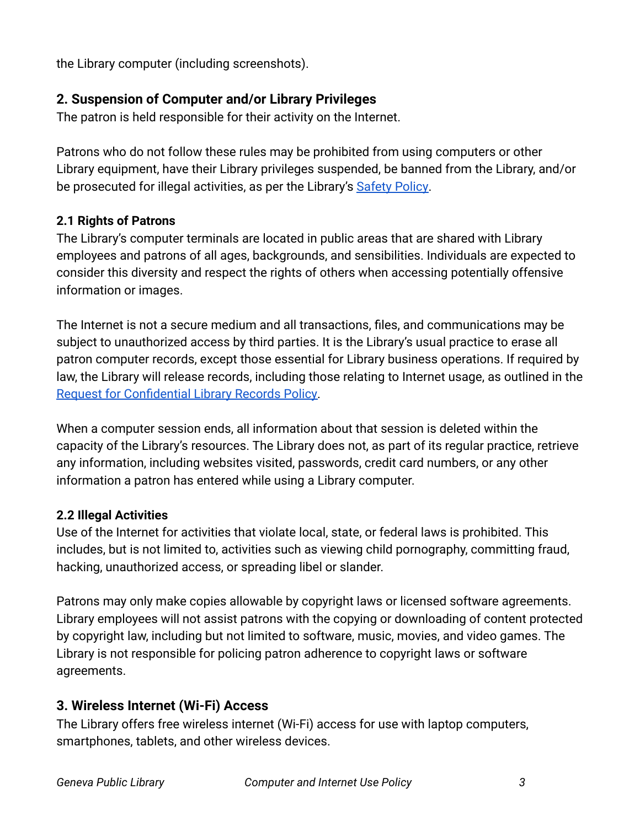the Library computer (including screenshots).

# **2. Suspension of Computer and/or Library Privileges**

The patron is held responsible for their activity on the Internet.

Patrons who do not follow these rules may be prohibited from using computers or other Library equipment, have their Library privileges suspended, be banned from the Library, and/or be prosecuted for illegal activities, as per the Library's [Safety Policy](https://www.genevapubliclibrary.net/uploads/4/9/7/8/49788875/safety_policy.pdf).

#### **2.1 Rights of Patrons**

The Library's computer terminals are located in public areas that are shared with Library employees and patrons of all ages, backgrounds, and sensibilities. Individuals are expected to consider this diversity and respect the rights of others when accessing potentially offensive information or images.

The Internet is not a secure medium and all transactions, files, and communications may be subject to unauthorized access by third parties. It is the Library's usual practice to erase all patron computer records, except those essential for Library business operations. If required by law, the Library will release records, including those relating to Internet usage, as outlined in the [Request for Confidential Library Records Policy.](https://www.genevapubliclibrary.net/uploads/4/9/7/8/49788875/requests_for_confidential_library_records_policy.pdf)

When a computer session ends, all information about that session is deleted within the capacity of the Library's resources. The Library does not, as part of its regular practice, retrieve any information, including websites visited, passwords, credit card numbers, or any other information a patron has entered while using a Library computer.

#### **2.2 Illegal Activities**

Use of the Internet for activities that violate local, state, or federal laws is prohibited. This includes, but is not limited to, activities such as viewing child pornography, committing fraud, hacking, unauthorized access, or spreading libel or slander.

Patrons may only make copies allowable by copyright laws or licensed software agreements. Library employees will not assist patrons with the copying or downloading of content protected by copyright law, including but not limited to software, music, movies, and video games. The Library is not responsible for policing patron adherence to copyright laws or software agreements.

## **3. Wireless Internet (Wi-Fi) Access**

The Library offers free wireless internet (Wi-Fi) access for use with laptop computers, smartphones, tablets, and other wireless devices.